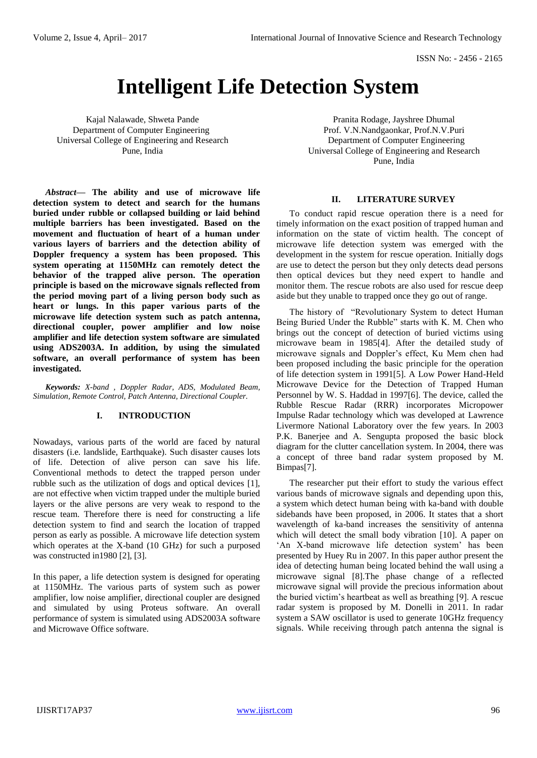# **Intelligent Life Detection System**

Kajal Nalawade, Shweta Pande Department of Computer Engineering Universal College of Engineering and Research Pune, India

*Abstract***— The ability and use of microwave life detection system to detect and search for the humans buried under rubble or collapsed building or laid behind multiple barriers has been investigated. Based on the movement and fluctuation of heart of a human under various layers of barriers and the detection ability of Doppler frequency a system has been proposed. This system operating at 1150MHz can remotely detect the behavior of the trapped alive person. The operation principle is based on the microwave signals reflected from the period moving part of a living person body such as heart or lungs. In this paper various parts of the microwave life detection system such as patch antenna, directional coupler, power amplifier and low noise amplifier and life detection system software are simulated using ADS2003A. In addition, by using the simulated software, an overall performance of system has been investigated.** 

*Keywords: X-band , Doppler Radar, ADS, Modulated Beam, Simulation, Remote Control, Patch Antenna, Directional Coupler.*

#### **I. INTRODUCTION**

Nowadays, various parts of the world are faced by natural disasters (i.e. landslide, Earthquake). Such disaster causes lots of life. Detection of alive person can save his life. Conventional methods to detect the trapped person under rubble such as the utilization of dogs and optical devices [1], are not effective when victim trapped under the multiple buried layers or the alive persons are very weak to respond to the rescue team. Therefore there is need for constructing a life detection system to find and search the location of trapped person as early as possible. A microwave life detection system which operates at the X-band (10 GHz) for such a purposed was constructed in1980 [2], [3].

In this paper, a life detection system is designed for operating at 1150MHz. The various parts of system such as power amplifier, low noise amplifier, directional coupler are designed and simulated by using Proteus software. An overall performance of system is simulated using ADS2003A software and Microwave Office software.

Pranita Rodage, Jayshree Dhumal Prof. V.N.Nandgaonkar, Prof.N.V.Puri Department of Computer Engineering Universal College of Engineering and Research Pune, India

#### **II. LITERATURE SURVEY**

To conduct rapid rescue operation there is a need for timely information on the exact position of trapped human and information on the state of victim health. The concept of microwave life detection system was emerged with the development in the system for rescue operation. Initially dogs are use to detect the person but they only detects dead persons then optical devices but they need expert to handle and monitor them. The rescue robots are also used for rescue deep aside but they unable to trapped once they go out of range.

The history of "Revolutionary System to detect Human Being Buried Under the Rubble" starts with K. M. Chen who brings out the concept of detection of buried victims using microwave beam in 1985[4]. After the detailed study of microwave signals and Doppler's effect, Ku Mem chen had been proposed including the basic principle for the operation of life detection system in 1991[5]. A Low Power Hand-Held Microwave Device for the Detection of Trapped Human Personnel by W. S. Haddad in 1997[6]. The device, called the Rubble Rescue Radar (RRR) incorporates Micropower Impulse Radar technology which was developed at Lawrence Livermore National Laboratory over the few years. In 2003 P.K. Banerjee and A. Sengupta proposed the basic block diagram for the clutter cancellation system. In 2004, there was a concept of three band radar system proposed by M. Bimpas[7].

The researcher put their effort to study the various effect various bands of microwave signals and depending upon this, a system which detect human being with ka-band with double sidebands have been proposed, in 2006. It states that a short wavelength of ka-band increases the sensitivity of antenna which will detect the small body vibration [10]. A paper on 'An X-band microwave life detection system' has been presented by Huey Ru in 2007. In this paper author present the idea of detecting human being located behind the wall using a microwave signal [8].The phase change of a reflected microwave signal will provide the precious information about the buried victim's heartbeat as well as breathing [9]. A rescue radar system is proposed by M. Donelli in 2011. In radar system a SAW oscillator is used to generate 10GHz frequency signals. While receiving through patch antenna the signal is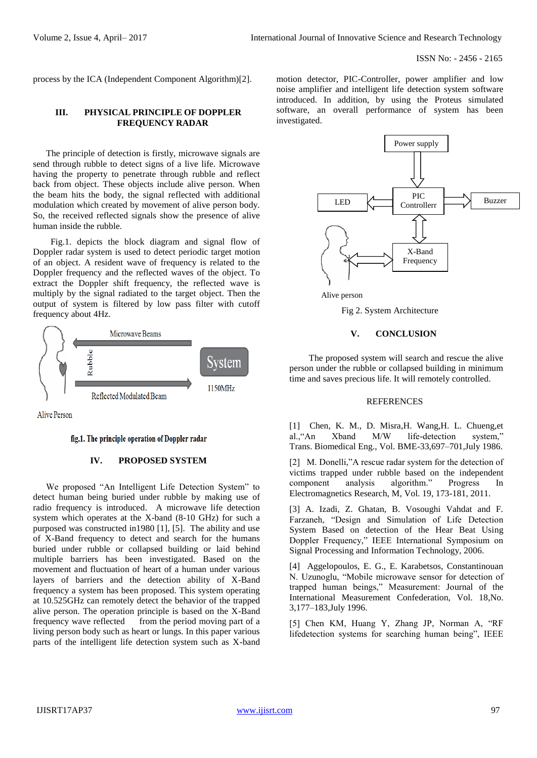process by the ICA (Independent Component Algorithm)[2].

## **III. PHYSICAL PRINCIPLE OF DOPPLER FREQUENCY RADAR**

The principle of detection is firstly, microwave signals are send through rubble to detect signs of a live life. Microwave having the property to penetrate through rubble and reflect back from object. These objects include alive person. When the beam hits the body, the signal reflected with additional modulation which created by movement of alive person body. So, the received reflected signals show the presence of alive human inside the rubble.

 Fig.1. depicts the block diagram and signal flow of Doppler radar system is used to detect periodic target motion of an object. A resident wave of frequency is related to the Doppler frequency and the reflected waves of the object. To extract the Doppler shift frequency, the reflected wave is multiply by the signal radiated to the target object. Then the output of system is filtered by low pass filter with cutoff frequency about 4Hz.



**Alive Person** 

#### fig.1. The principle operation of Doppler radar

### **IV. PROPOSED SYSTEM**

We proposed "An Intelligent Life Detection System" to detect human being buried under rubble by making use of radio frequency is introduced. A microwave life detection system which operates at the X-band (8-10 GHz) for such a purposed was constructed in1980 [1], [5]. The ability and use of X-Band frequency to detect and search for the humans buried under rubble or collapsed building or laid behind multiple barriers has been investigated. Based on the movement and fluctuation of heart of a human under various layers of barriers and the detection ability of X-Band frequency a system has been proposed. This system operating at 10.525GHz can remotely detect the behavior of the trapped alive person. The operation principle is based on the X-Band frequency wave reflected from the period moving part of a living person body such as heart or lungs. In this paper various parts of the intelligent life detection system such as X-band motion detector, PIC-Controller, power amplifier and low noise amplifier and intelligent life detection system software introduced. In addition, by using the Proteus simulated software, an overall performance of system has been investigated.



Alive person

Fig 2. System Architecture

#### **V. CONCLUSION**

The proposed system will search and rescue the alive person under the rubble or collapsed building in minimum time and saves precious life. It will remotely controlled.

#### **REFERENCES**

[1] Chen, K. M., D. Misra,H. Wang,H. L. Chueng,et al.,"An Xband M/W life-detection system," Trans. Biomedical Eng., Vol. BME-33,697–701,July 1986.

[2] M. Donelli,"A rescue radar system for the detection of victims trapped under rubble based on the independent component analysis algorithm." Progress In Electromagnetics Research, M, Vol. 19, 173-181, 2011.

[3] A. Izadi, Z. Ghatan, B. Vosoughi Vahdat and F. Farzaneh, "Design and Simulation of Life Detection System Based on detection of the Hear Beat Using Doppler Frequency," IEEE International Symposium on Signal Processing and Information Technology, 2006.

[4] Aggelopoulos, E. G., E. Karabetsos, Constantinouan N. Uzunoglu, "Mobile microwave sensor for detection of trapped human beings," Measurement: Journal of the International Measurement Confederation, Vol. 18,No. 3,177–183,July 1996.

[5] Chen KM, Huang Y, Zhang JP, Norman A, "RF lifedetection systems for searching human being", IEEE